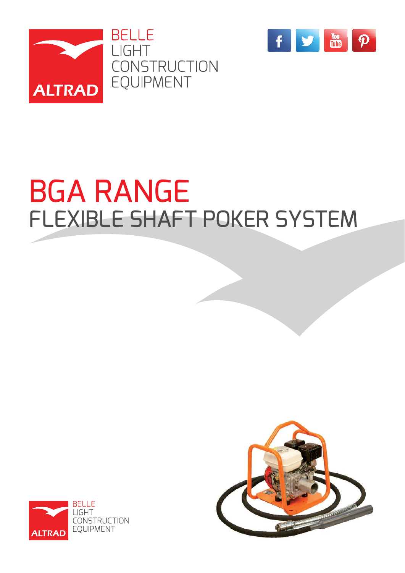



# BGA RANGE FLEXIBLE SHAFT POKER SYSTEM